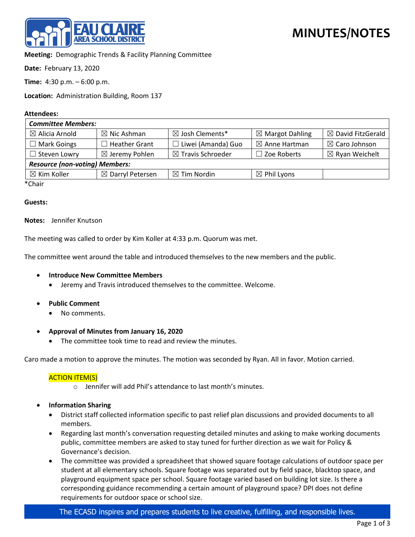

**Meeting:** Demographic Trends & Facility Planning Committee

**Date:** February 13, 2020

**Time:** 4:30 p.m. – 6:00 p.m.

**Location:** Administration Building, Room 137

### **Attendees:**

| <b>Committee Members:</b>             |                           |                              |                            |                              |
|---------------------------------------|---------------------------|------------------------------|----------------------------|------------------------------|
| $\boxtimes$ Alicia Arnold             | $\boxtimes$ Nic Ashman    | ⊠ Josh Clements*             | $\boxtimes$ Margot Dahling | $\boxtimes$ David FitzGerald |
| $\Box$ Mark Goings                    | <b>Heather Grant</b>      | Liwei (Amanda) Guo           | $\boxtimes$ Anne Hartman   | $\boxtimes$ Caro Johnson     |
| $\Box$ Steven Lowry                   | $\boxtimes$ Jeremy Pohlen | $\boxtimes$ Travis Schroeder | $\Box$ Zoe Roberts         | $\boxtimes$ Ryan Weichelt    |
| <b>Resource (non-voting) Members:</b> |                           |                              |                            |                              |
| $\boxtimes$ Kim Koller                | ⊠ Darryl Petersen         | $\boxtimes$ Tim Nordin       | $\boxtimes$ Phil Lyons     |                              |
| $*$ $C_{n-1}$                         |                           |                              |                            |                              |

\*Chair

### **Guests:**

## **Notes:** Jennifer Knutson

The meeting was called to order by Kim Koller at 4:33 p.m. Quorum was met.

The committee went around the table and introduced themselves to the new members and the public.

- **Introduce New Committee Members**
	- Jeremy and Travis introduced themselves to the committee. Welcome.
- **Public Comment**
	- No comments.
- **Approval of Minutes from January 16, 2020**
	- The committee took time to read and review the minutes.

Caro made a motion to approve the minutes. The motion was seconded by Ryan. All in favor. Motion carried.

## ACTION ITEM(S)

- o Jennifer will add Phil's attendance to last month's minutes.
- **Information Sharing**
	- District staff collected information specific to past relief plan discussions and provided documents to all members.
	- Regarding last month's conversation requesting detailed minutes and asking to make working documents public, committee members are asked to stay tuned for further direction as we wait for Policy & Governance's decision.
	- The committee was provided a spreadsheet that showed square footage calculations of outdoor space per student at all elementary schools. Square footage was separated out by field space, blacktop space, and playground equipment space per school. Square footage varied based on building lot size. Is there a corresponding guidance recommending a certain amount of playground space? DPI does not define requirements for outdoor space or school size.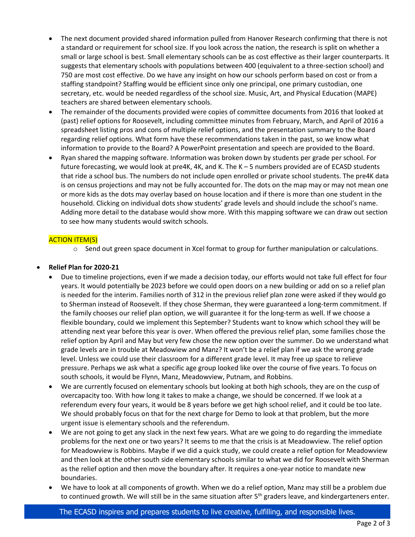- The next document provided shared information pulled from Hanover Research confirming that there is not a standard or requirement for school size. If you look across the nation, the research is split on whether a small or large school is best. Small elementary schools can be as cost effective as their larger counterparts. It suggests that elementary schools with populations between 400 (equivalent to a three-section school) and 750 are most cost effective. Do we have any insight on how our schools perform based on cost or from a staffing standpoint? Staffing would be efficient since only one principal, one primary custodian, one secretary, etc. would be needed regardless of the school size. Music, Art, and Physical Education (MAPE) teachers are shared between elementary schools.
- The remainder of the documents provided were copies of committee documents from 2016 that looked at (past) relief options for Roosevelt, including committee minutes from February, March, and April of 2016 a spreadsheet listing pros and cons of multiple relief options, and the presentation summary to the Board regarding relief options. What form have these recommendations taken in the past, so we know what information to provide to the Board? A PowerPoint presentation and speech are provided to the Board.
- Ryan shared the mapping software. Information was broken down by students per grade per school. For future forecasting, we would look at pre4K, 4K, and K. The K – 5 numbers provided are of ECASD students that ride a school bus. The numbers do not include open enrolled or private school students. The pre4K data is on census projections and may not be fully accounted for. The dots on the map may or may not mean one or more kids as the dots may overlay based on house location and if there is more than one student in the household. Clicking on individual dots show students' grade levels and should include the school's name. Adding more detail to the database would show more. With this mapping software we can draw out section to see how many students would switch schools.

# ACTION ITEM(S)

o Send out green space document in Xcel format to group for further manipulation or calculations.

# • **Relief Plan for 2020-21**

- Due to timeline projections, even if we made a decision today, our efforts would not take full effect for four years. It would potentially be 2023 before we could open doors on a new building or add on so a relief plan is needed for the interim. Families north of 312 in the previous relief plan zone were asked if they would go to Sherman instead of Roosevelt. If they chose Sherman, they were guaranteed a long-term commitment. If the family chooses our relief plan option, we will guarantee it for the long-term as well. If we choose a flexible boundary, could we implement this September? Students want to know which school they will be attending next year before this year is over. When offered the previous relief plan, some families chose the relief option by April and May but very few chose the new option over the summer. Do we understand what grade levels are in trouble at Meadowiew and Manz? It won't be a relief plan if we ask the wrong grade level. Unless we could use their classroom for a different grade level. It may free up space to relieve pressure. Perhaps we ask what a specific age group looked like over the course of five years. To focus on south schools, it would be Flynn, Manz, Meadowview, Putnam, and Robbins.
- We are currently focused on elementary schools but looking at both high schools, they are on the cusp of overcapacity too. With how long it takes to make a change, we should be concerned. If we look at a referendum every four years, it would be 8 years before we get high school relief, and it could be too late. We should probably focus on that for the next charge for Demo to look at that problem, but the more urgent issue is elementary schools and the referendum.
- We are not going to get any slack in the next few years. What are we going to do regarding the immediate problems for the next one or two years? It seems to me that the crisis is at Meadowview. The relief option for Meadowview is Robbins. Maybe if we did a quick study, we could create a relief option for Meadowview and then look at the other south side elementary schools similar to what we did for Roosevelt with Sherman as the relief option and then move the boundary after. It requires a one-year notice to mandate new boundaries.
- We have to look at all components of growth. When we do a relief option, Manz may still be a problem due to continued growth. We will still be in the same situation after 5<sup>th</sup> graders leave, and kindergarteners enter.